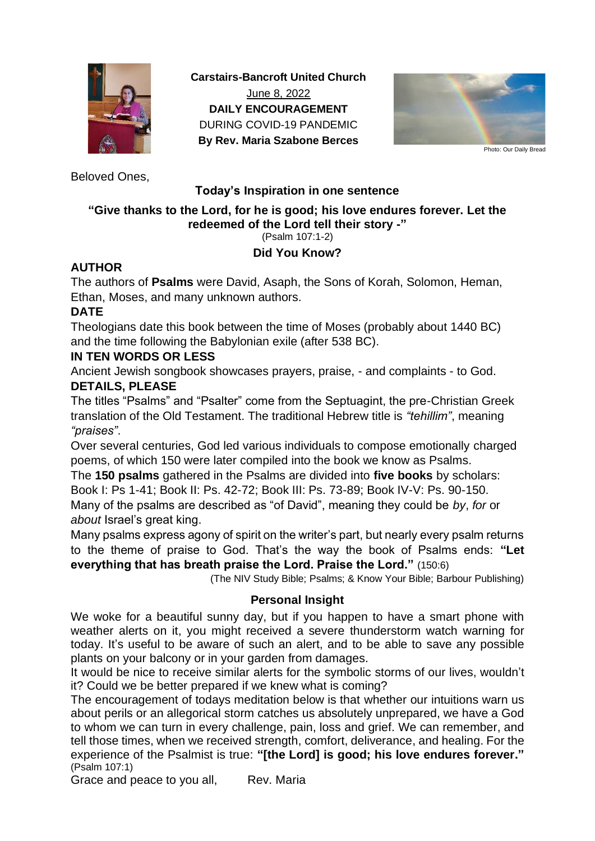

**Carstairs-Bancroft United Church** June 8, 2022 **DAILY ENCOURAGEMENT** DURING COVID-19 PANDEMIC **By Rev. Maria Szabone Berces**



Photo: Our Daily Bread

Beloved Ones,

## **Today's Inspiration in one sentence**

# **"Give thanks to the Lord, for he is good; his love endures forever. Let the redeemed of the Lord tell their story -"**

(Psalm 107:1-2)

## **Did You Know?**

#### **AUTHOR**

The authors of **Psalms** were David, Asaph, the Sons of Korah, Solomon, Heman, Ethan, Moses, and many unknown authors.

#### **DATE**

Theologians date this book between the time of Moses (probably about 1440 BC) and the time following the Babylonian exile (after 538 BC).

#### **IN TEN WORDS OR LESS**

Ancient Jewish songbook showcases prayers, praise, - and complaints - to God. **DETAILS, PLEASE**

The titles "Psalms" and "Psalter" come from the Septuagint, the pre-Christian Greek translation of the Old Testament. The traditional Hebrew title is *"tehillim"*, meaning *"praises"*.

Over several centuries, God led various individuals to compose emotionally charged poems, of which 150 were later compiled into the book we know as Psalms.

The **150 psalms** gathered in the Psalms are divided into **five books** by scholars: Book I: Ps 1-41; Book II: Ps. 42-72; Book III: Ps. 73-89; Book IV-V: Ps. 90-150. Many of the psalms are described as "of David", meaning they could be *by*, *for* or

*about* Israel's great king.

Many psalms express agony of spirit on the writer's part, but nearly every psalm returns to the theme of praise to God. That's the way the book of Psalms ends: **"Let everything that has breath praise the Lord. Praise the Lord."** (150:6)

(The NIV Study Bible; Psalms; & Know Your Bible; Barbour Publishing)

## **Personal Insight**

We woke for a beautiful sunny day, but if you happen to have a smart phone with weather alerts on it, you might received a severe thunderstorm watch warning for today. It's useful to be aware of such an alert, and to be able to save any possible plants on your balcony or in your garden from damages.

It would be nice to receive similar alerts for the symbolic storms of our lives, wouldn't it? Could we be better prepared if we knew what is coming?

The encouragement of todays meditation below is that whether our intuitions warn us about perils or an allegorical storm catches us absolutely unprepared, we have a God to whom we can turn in every challenge, pain, loss and grief. We can remember, and tell those times, when we received strength, comfort, deliverance, and healing. For the experience of the Psalmist is true: **"[the Lord] is good; his love endures forever."** (Psalm 107:1)

Grace and peace to you all, Rev. Maria